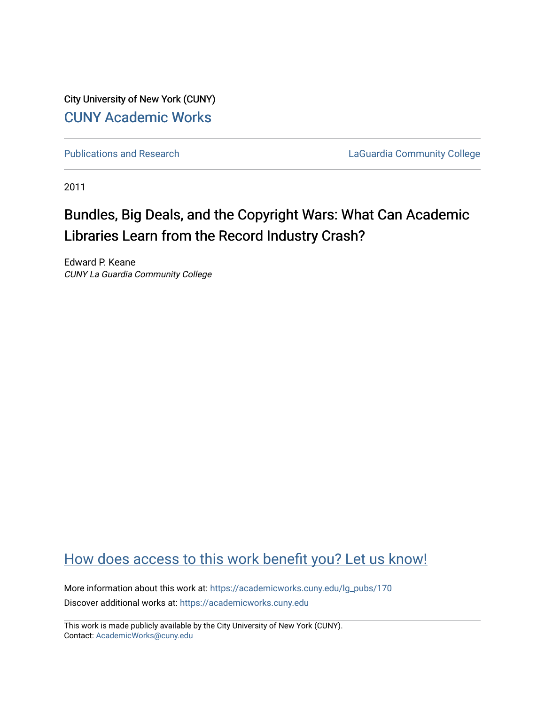City University of New York (CUNY) [CUNY Academic Works](https://academicworks.cuny.edu/) 

[Publications and Research](https://academicworks.cuny.edu/lg_pubs) **LaGuardia Community College** 

2011

# Bundles, Big Deals, and the Copyright Wars: What Can Academic Libraries Learn from the Record Industry Crash?

Edward P. Keane CUNY La Guardia Community College

## [How does access to this work benefit you? Let us know!](http://ols.cuny.edu/academicworks/?ref=https://academicworks.cuny.edu/lg_pubs/170)

More information about this work at: [https://academicworks.cuny.edu/lg\\_pubs/170](https://academicworks.cuny.edu/lg_pubs/170)  Discover additional works at: [https://academicworks.cuny.edu](https://academicworks.cuny.edu/?)

This work is made publicly available by the City University of New York (CUNY). Contact: [AcademicWorks@cuny.edu](mailto:AcademicWorks@cuny.edu)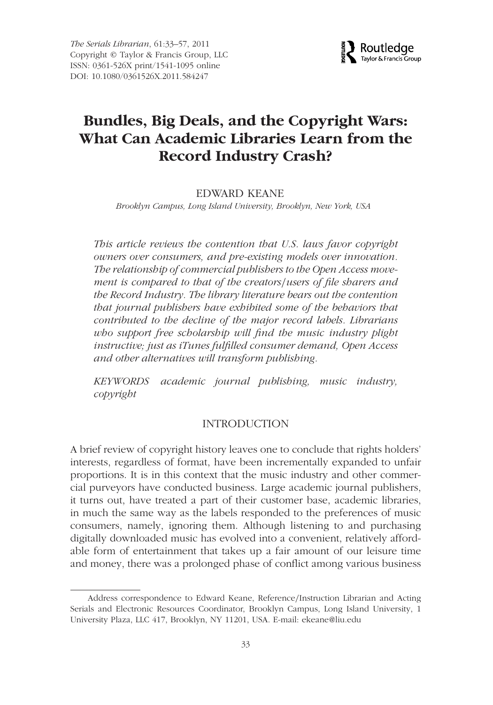*The Serials Librarian*, 61:33–57, 2011 Copyright © Taylor & Francis Group, LLC ISSN: 0361-526X print/1541-1095 online DOI: 10.1080/0361526X.2011.584247



## **Bundles, Big Deals, and the Copyright Wars: What Can Academic Libraries Learn from the Record Industry Crash?**

#### EDWARD KEANE

*Brooklyn Campus, Long Island University, Brooklyn, New York, USA*

*This article reviews the contention that U.S. laws favor copyright owners over consumers, and pre-existing models over innovation. The relationship of commercial publishers to the Open Access movement is compared to that of the creators/users of file sharers and the Record Industry. The library literature bears out the contention that journal publishers have exhibited some of the behaviors that contributed to the decline of the major record labels. Librarians who support free scholarship will find the music industry plight instructive; just as iTunes fulfilled consumer demand, Open Access and other alternatives will transform publishing.*

*KEYWORDS academic journal publishing, music industry, copyright*

#### INTRODUCTION

A brief review of copyright history leaves one to conclude that rights holders' interests, regardless of format, have been incrementally expanded to unfair proportions. It is in this context that the music industry and other commercial purveyors have conducted business. Large academic journal publishers, it turns out, have treated a part of their customer base, academic libraries, in much the same way as the labels responded to the preferences of music consumers, namely, ignoring them. Although listening to and purchasing digitally downloaded music has evolved into a convenient, relatively affordable form of entertainment that takes up a fair amount of our leisure time and money, there was a prolonged phase of conflict among various business

Address correspondence to Edward Keane, Reference*/*Instruction Librarian and Acting Serials and Electronic Resources Coordinator, Brooklyn Campus, Long Island University, 1 University Plaza, LLC 417, Brooklyn, NY 11201, USA. E-mail: ekeane@liu.edu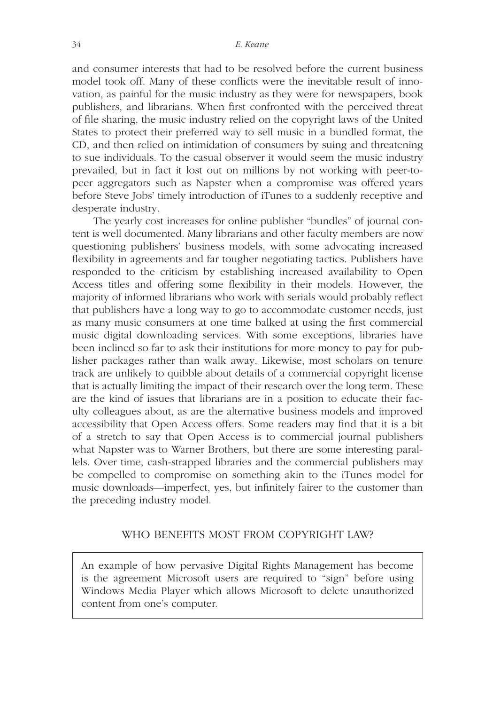and consumer interests that had to be resolved before the current business model took off. Many of these conflicts were the inevitable result of innovation, as painful for the music industry as they were for newspapers, book publishers, and librarians. When first confronted with the perceived threat of file sharing, the music industry relied on the copyright laws of the United States to protect their preferred way to sell music in a bundled format, the CD, and then relied on intimidation of consumers by suing and threatening to sue individuals. To the casual observer it would seem the music industry prevailed, but in fact it lost out on millions by not working with peer-topeer aggregators such as Napster when a compromise was offered years before Steve Jobs' timely introduction of iTunes to a suddenly receptive and desperate industry.

The yearly cost increases for online publisher "bundles" of journal content is well documented. Many librarians and other faculty members are now questioning publishers' business models, with some advocating increased flexibility in agreements and far tougher negotiating tactics. Publishers have responded to the criticism by establishing increased availability to Open Access titles and offering some flexibility in their models. However, the majority of informed librarians who work with serials would probably reflect that publishers have a long way to go to accommodate customer needs, just as many music consumers at one time balked at using the first commercial music digital downloading services. With some exceptions, libraries have been inclined so far to ask their institutions for more money to pay for publisher packages rather than walk away. Likewise, most scholars on tenure track are unlikely to quibble about details of a commercial copyright license that is actually limiting the impact of their research over the long term. These are the kind of issues that librarians are in a position to educate their faculty colleagues about, as are the alternative business models and improved accessibility that Open Access offers. Some readers may find that it is a bit of a stretch to say that Open Access is to commercial journal publishers what Napster was to Warner Brothers, but there are some interesting parallels. Over time, cash-strapped libraries and the commercial publishers may be compelled to compromise on something akin to the iTunes model for music downloads—imperfect, yes, but infinitely fairer to the customer than the preceding industry model.

#### WHO BENEFITS MOST FROM COPYRIGHT LAW?

An example of how pervasive Digital Rights Management has become is the agreement Microsoft users are required to "sign" before using Windows Media Player which allows Microsoft to delete unauthorized content from one's computer.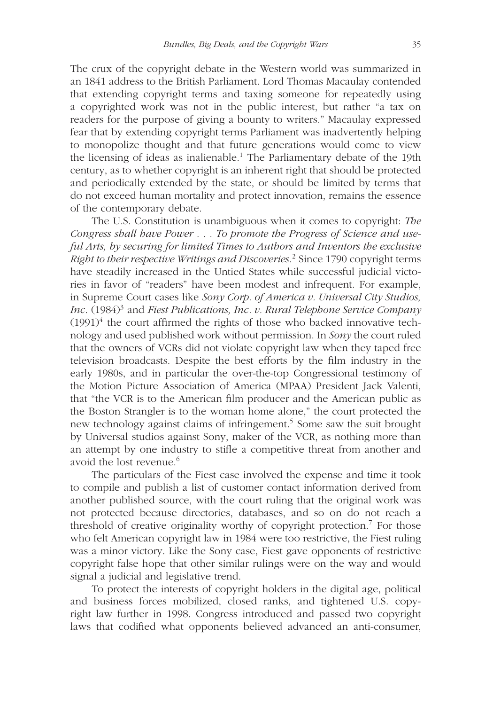The crux of the copyright debate in the Western world was summarized in an 1841 address to the British Parliament. Lord Thomas Macaulay contended that extending copyright terms and taxing someone for repeatedly using a copyrighted work was not in the public interest, but rather "a tax on readers for the purpose of giving a bounty to writers." Macaulay expressed fear that by extending copyright terms Parliament was inadvertently helping to monopolize thought and that future generations would come to view the licensing of ideas as inalienable.<sup>1</sup> The Parliamentary debate of the 19th century, as to whether copyright is an inherent right that should be protected and periodically extended by the state, or should be limited by terms that do not exceed human mortality and protect innovation, remains the essence of the contemporary debate.

The U.S. Constitution is unambiguous when it comes to copyright: *The Congress shall have Power . . . To promote the Progress of Science and useful Arts, by securing for limited Times to Authors and Inventors the exclusive Right to their respective Writings and Discoveries*. <sup>2</sup> Since 1790 copyright terms have steadily increased in the Untied States while successful judicial victories in favor of "readers" have been modest and infrequent. For example, in Supreme Court cases like *Sony Corp. of America v. Universal City Studios, Inc.* (1984)<sup>3</sup> and *Fiest Publications, Inc. v. Rural Telephone Service Company*  $(1991)^4$  the court affirmed the rights of those who backed innovative technology and used published work without permission. In *Sony* the court ruled that the owners of VCRs did not violate copyright law when they taped free television broadcasts. Despite the best efforts by the film industry in the early 1980s, and in particular the over-the-top Congressional testimony of the Motion Picture Association of America (MPAA) President Jack Valenti, that "the VCR is to the American film producer and the American public as the Boston Strangler is to the woman home alone," the court protected the new technology against claims of infringement.<sup>5</sup> Some saw the suit brought by Universal studios against Sony, maker of the VCR, as nothing more than an attempt by one industry to stifle a competitive threat from another and avoid the lost revenue.<sup>6</sup>

The particulars of the Fiest case involved the expense and time it took to compile and publish a list of customer contact information derived from another published source, with the court ruling that the original work was not protected because directories, databases, and so on do not reach a threshold of creative originality worthy of copyright protection.<sup>7</sup> For those who felt American copyright law in 1984 were too restrictive, the Fiest ruling was a minor victory. Like the Sony case, Fiest gave opponents of restrictive copyright false hope that other similar rulings were on the way and would signal a judicial and legislative trend.

To protect the interests of copyright holders in the digital age, political and business forces mobilized, closed ranks, and tightened U.S. copyright law further in 1998. Congress introduced and passed two copyright laws that codified what opponents believed advanced an anti-consumer,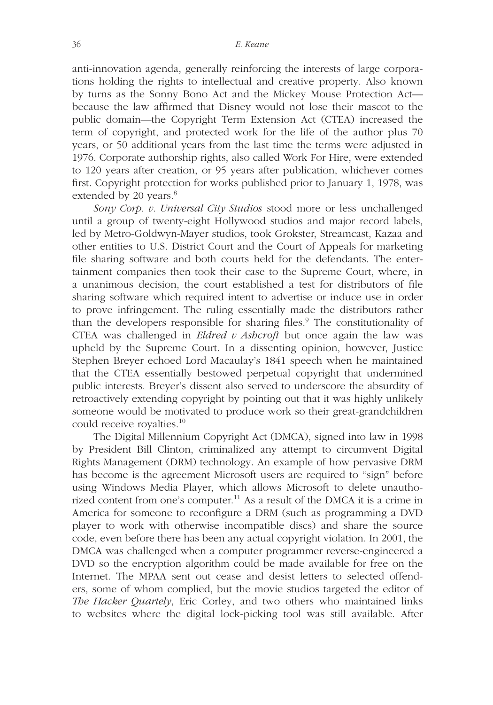anti-innovation agenda, generally reinforcing the interests of large corporations holding the rights to intellectual and creative property. Also known by turns as the Sonny Bono Act and the Mickey Mouse Protection Act because the law affirmed that Disney would not lose their mascot to the public domain—the Copyright Term Extension Act (CTEA) increased the term of copyright, and protected work for the life of the author plus 70 years, or 50 additional years from the last time the terms were adjusted in 1976. Corporate authorship rights, also called Work For Hire, were extended to 120 years after creation, or 95 years after publication, whichever comes first. Copyright protection for works published prior to January 1, 1978, was extended by 20 years.<sup>8</sup>

*Sony Corp. v. Universal City Studios* stood more or less unchallenged until a group of twenty-eight Hollywood studios and major record labels, led by Metro-Goldwyn-Mayer studios, took Grokster, Streamcast, Kazaa and other entities to U.S. District Court and the Court of Appeals for marketing file sharing software and both courts held for the defendants. The entertainment companies then took their case to the Supreme Court, where, in a unanimous decision, the court established a test for distributors of file sharing software which required intent to advertise or induce use in order to prove infringement. The ruling essentially made the distributors rather than the developers responsible for sharing files.<sup>9</sup> The constitutionality of CTEA was challenged in *Eldred v Ashcroft* but once again the law was upheld by the Supreme Court. In a dissenting opinion, however, Justice Stephen Breyer echoed Lord Macaulay's 1841 speech when he maintained that the CTEA essentially bestowed perpetual copyright that undermined public interests. Breyer's dissent also served to underscore the absurdity of retroactively extending copyright by pointing out that it was highly unlikely someone would be motivated to produce work so their great-grandchildren could receive royalties.10

The Digital Millennium Copyright Act (DMCA), signed into law in 1998 by President Bill Clinton, criminalized any attempt to circumvent Digital Rights Management (DRM) technology. An example of how pervasive DRM has become is the agreement Microsoft users are required to "sign" before using Windows Media Player, which allows Microsoft to delete unauthorized content from one's computer.<sup>11</sup> As a result of the DMCA it is a crime in America for someone to reconfigure a DRM (such as programming a DVD player to work with otherwise incompatible discs) and share the source code, even before there has been any actual copyright violation. In 2001, the DMCA was challenged when a computer programmer reverse-engineered a DVD so the encryption algorithm could be made available for free on the Internet. The MPAA sent out cease and desist letters to selected offenders, some of whom complied, but the movie studios targeted the editor of *The Hacker Quartely*, Eric Corley, and two others who maintained links to websites where the digital lock-picking tool was still available. After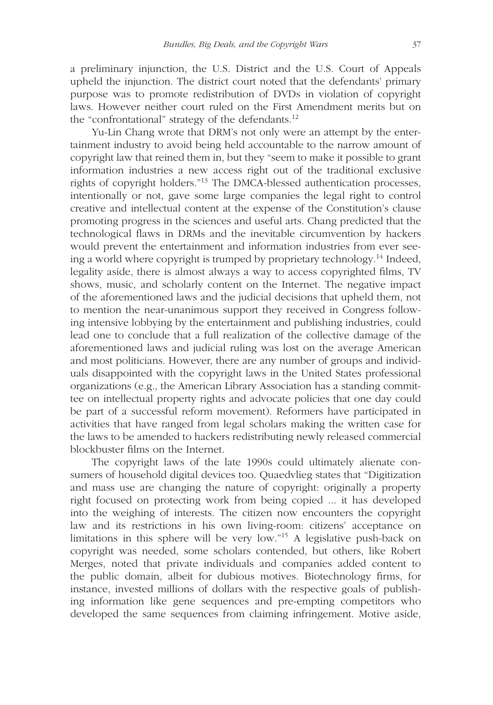a preliminary injunction, the U.S. District and the U.S. Court of Appeals upheld the injunction. The district court noted that the defendants' primary purpose was to promote redistribution of DVDs in violation of copyright laws. However neither court ruled on the First Amendment merits but on the "confrontational" strategy of the defendants. $12$ 

Yu-Lin Chang wrote that DRM's not only were an attempt by the entertainment industry to avoid being held accountable to the narrow amount of copyright law that reined them in, but they "seem to make it possible to grant information industries a new access right out of the traditional exclusive rights of copyright holders."13 The DMCA-blessed authentication processes, intentionally or not, gave some large companies the legal right to control creative and intellectual content at the expense of the Constitution's clause promoting progress in the sciences and useful arts. Chang predicted that the technological flaws in DRMs and the inevitable circumvention by hackers would prevent the entertainment and information industries from ever seeing a world where copyright is trumped by proprietary technology.14 Indeed, legality aside, there is almost always a way to access copyrighted films, TV shows, music, and scholarly content on the Internet. The negative impact of the aforementioned laws and the judicial decisions that upheld them, not to mention the near-unanimous support they received in Congress following intensive lobbying by the entertainment and publishing industries, could lead one to conclude that a full realization of the collective damage of the aforementioned laws and judicial ruling was lost on the average American and most politicians. However, there are any number of groups and individuals disappointed with the copyright laws in the United States professional organizations (e.g., the American Library Association has a standing committee on intellectual property rights and advocate policies that one day could be part of a successful reform movement). Reformers have participated in activities that have ranged from legal scholars making the written case for the laws to be amended to hackers redistributing newly released commercial blockbuster films on the Internet.

The copyright laws of the late 1990s could ultimately alienate consumers of household digital devices too. Quaedvlieg states that "Digitization and mass use are changing the nature of copyright: originally a property right focused on protecting work from being copied ... it has developed into the weighing of interests. The citizen now encounters the copyright law and its restrictions in his own living-room: citizens' acceptance on limitations in this sphere will be very low."15 A legislative push-back on copyright was needed, some scholars contended, but others, like Robert Merges, noted that private individuals and companies added content to the public domain, albeit for dubious motives. Biotechnology firms, for instance, invested millions of dollars with the respective goals of publishing information like gene sequences and pre-empting competitors who developed the same sequences from claiming infringement. Motive aside,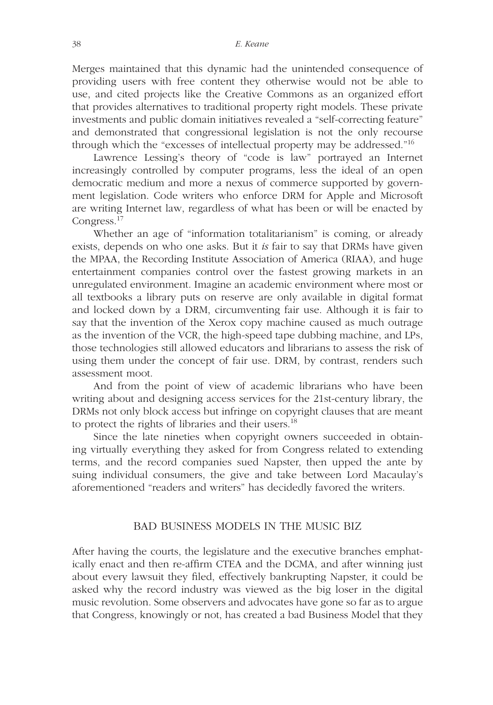#### 38 *E. Keane*

Merges maintained that this dynamic had the unintended consequence of providing users with free content they otherwise would not be able to use, and cited projects like the Creative Commons as an organized effort that provides alternatives to traditional property right models. These private investments and public domain initiatives revealed a "self-correcting feature" and demonstrated that congressional legislation is not the only recourse through which the "excesses of intellectual property may be addressed."16

Lawrence Lessing's theory of "code is law" portrayed an Internet increasingly controlled by computer programs, less the ideal of an open democratic medium and more a nexus of commerce supported by government legislation. Code writers who enforce DRM for Apple and Microsoft are writing Internet law, regardless of what has been or will be enacted by Congress.17

Whether an age of "information totalitarianism" is coming, or already exists, depends on who one asks. But it *is* fair to say that DRMs have given the MPAA, the Recording Institute Association of America (RIAA), and huge entertainment companies control over the fastest growing markets in an unregulated environment. Imagine an academic environment where most or all textbooks a library puts on reserve are only available in digital format and locked down by a DRM, circumventing fair use. Although it is fair to say that the invention of the Xerox copy machine caused as much outrage as the invention of the VCR, the high-speed tape dubbing machine, and LPs, those technologies still allowed educators and librarians to assess the risk of using them under the concept of fair use. DRM, by contrast, renders such assessment moot.

And from the point of view of academic librarians who have been writing about and designing access services for the 21st-century library, the DRMs not only block access but infringe on copyright clauses that are meant to protect the rights of libraries and their users.18

Since the late nineties when copyright owners succeeded in obtaining virtually everything they asked for from Congress related to extending terms, and the record companies sued Napster, then upped the ante by suing individual consumers, the give and take between Lord Macaulay's aforementioned "readers and writers" has decidedly favored the writers.

#### BAD BUSINESS MODELS IN THE MUSIC BIZ

After having the courts, the legislature and the executive branches emphatically enact and then re-affirm CTEA and the DCMA, and after winning just about every lawsuit they filed, effectively bankrupting Napster, it could be asked why the record industry was viewed as the big loser in the digital music revolution. Some observers and advocates have gone so far as to argue that Congress, knowingly or not, has created a bad Business Model that they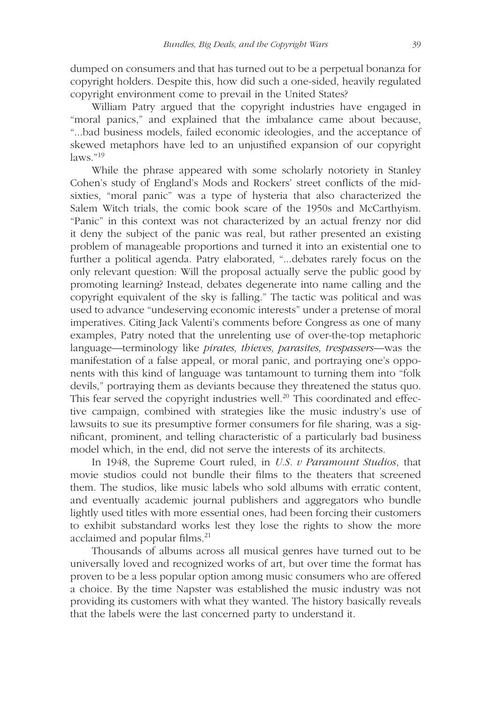dumped on consumers and that has turned out to be a perpetual bonanza for copyright holders. Despite this, how did such a one-sided, heavily regulated copyright environment come to prevail in the United States?

William Patry argued that the copyright industries have engaged in "moral panics," and explained that the imbalance came about because, "...bad business models, failed economic ideologies, and the acceptance of skewed metaphors have led to an unjustified expansion of our copyright  $_{\text{laws}}$  "19

While the phrase appeared with some scholarly notoriety in Stanley Cohen's study of England's Mods and Rockers' street conflicts of the midsixties, "moral panic" was a type of hysteria that also characterized the Salem Witch trials, the comic book scare of the 1950s and McCarthyism. "Panic" in this context was not characterized by an actual frenzy nor did it deny the subject of the panic was real, but rather presented an existing problem of manageable proportions and turned it into an existential one to further a political agenda. Patry elaborated, "...debates rarely focus on the only relevant question: Will the proposal actually serve the public good by promoting learning? Instead, debates degenerate into name calling and the copyright equivalent of the sky is falling." The tactic was political and was used to advance "undeserving economic interests" under a pretense of moral imperatives. Citing Jack Valenti's comments before Congress as one of many examples, Patry noted that the unrelenting use of over-the-top metaphoric language—terminology like *pirates, thieves, parasites, trespassers*—was the manifestation of a false appeal, or moral panic, and portraying one's opponents with this kind of language was tantamount to turning them into "folk devils," portraying them as deviants because they threatened the status quo. This fear served the copyright industries well.<sup>20</sup> This coordinated and effective campaign, combined with strategies like the music industry's use of lawsuits to sue its presumptive former consumers for file sharing, was a significant, prominent, and telling characteristic of a particularly bad business model which, in the end, did not serve the interests of its architects.

In 1948, the Supreme Court ruled, in *U.S. v Paramount Studios*, that movie studios could not bundle their films to the theaters that screened them. The studios, like music labels who sold albums with erratic content, and eventually academic journal publishers and aggregators who bundle lightly used titles with more essential ones, had been forcing their customers to exhibit substandard works lest they lose the rights to show the more acclaimed and popular films.<sup>21</sup>

Thousands of albums across all musical genres have turned out to be universally loved and recognized works of art, but over time the format has proven to be a less popular option among music consumers who are offered a choice. By the time Napster was established the music industry was not providing its customers with what they wanted. The history basically reveals that the labels were the last concerned party to understand it.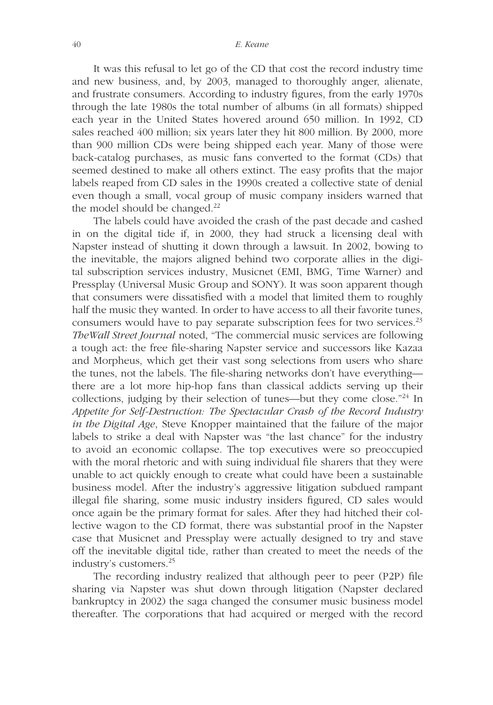It was this refusal to let go of the CD that cost the record industry time and new business, and, by 2003, managed to thoroughly anger, alienate, and frustrate consumers. According to industry figures, from the early 1970s through the late 1980s the total number of albums (in all formats) shipped each year in the United States hovered around 650 million. In 1992, CD sales reached 400 million; six years later they hit 800 million. By 2000, more than 900 million CDs were being shipped each year. Many of those were back-catalog purchases, as music fans converted to the format (CDs) that seemed destined to make all others extinct. The easy profits that the major labels reaped from CD sales in the 1990s created a collective state of denial even though a small, vocal group of music company insiders warned that the model should be changed. $^{22}$ 

The labels could have avoided the crash of the past decade and cashed in on the digital tide if, in 2000, they had struck a licensing deal with Napster instead of shutting it down through a lawsuit. In 2002, bowing to the inevitable, the majors aligned behind two corporate allies in the digital subscription services industry, Musicnet (EMI, BMG, Time Warner) and Pressplay (Universal Music Group and SONY). It was soon apparent though that consumers were dissatisfied with a model that limited them to roughly half the music they wanted. In order to have access to all their favorite tunes, consumers would have to pay separate subscription fees for two services.<sup>23</sup> *TheWall Street Journal* noted, "The commercial music services are following a tough act: the free file-sharing Napster service and successors like Kazaa and Morpheus, which get their vast song selections from users who share the tunes, not the labels. The file-sharing networks don't have everything there are a lot more hip-hop fans than classical addicts serving up their collections, judging by their selection of tunes—but they come close. $^{24}$  In *Appetite for Self-Destruction: The Spectacular Crash of the Record Industry in the Digital Age*, Steve Knopper maintained that the failure of the major labels to strike a deal with Napster was "the last chance" for the industry to avoid an economic collapse. The top executives were so preoccupied with the moral rhetoric and with suing individual file sharers that they were unable to act quickly enough to create what could have been a sustainable business model. After the industry's aggressive litigation subdued rampant illegal file sharing, some music industry insiders figured, CD sales would once again be the primary format for sales. After they had hitched their collective wagon to the CD format, there was substantial proof in the Napster case that Musicnet and Pressplay were actually designed to try and stave off the inevitable digital tide, rather than created to meet the needs of the industry's customers.25

The recording industry realized that although peer to peer (P2P) file sharing via Napster was shut down through litigation (Napster declared bankruptcy in 2002) the saga changed the consumer music business model thereafter. The corporations that had acquired or merged with the record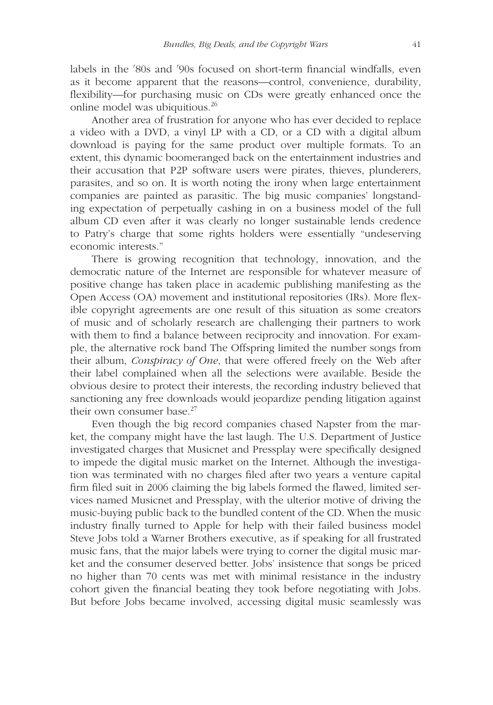labels in the '80s and '90s focused on short-term financial windfalls, even as it become apparent that the reasons—control, convenience, durability, flexibility—for purchasing music on CDs were greatly enhanced once the online model was ubiquitious.26

Another area of frustration for anyone who has ever decided to replace a video with a DVD, a vinyl LP with a CD, or a CD with a digital album download is paying for the same product over multiple formats. To an extent, this dynamic boomeranged back on the entertainment industries and their accusation that P2P software users were pirates, thieves, plunderers, parasites, and so on. It is worth noting the irony when large entertainment companies are painted as parasitic. The big music companies' longstanding expectation of perpetually cashing in on a business model of the full album CD even after it was clearly no longer sustainable lends credence to Patry's charge that some rights holders were essentially "undeserving economic interests."

There is growing recognition that technology, innovation, and the democratic nature of the Internet are responsible for whatever measure of positive change has taken place in academic publishing manifesting as the Open Access (OA) movement and institutional repositories (IRs). More flexible copyright agreements are one result of this situation as some creators of music and of scholarly research are challenging their partners to work with them to find a balance between reciprocity and innovation. For example, the alternative rock band The Offspring limited the number songs from their album, *Conspiracy of One*, that were offered freely on the Web after their label complained when all the selections were available. Beside the obvious desire to protect their interests, the recording industry believed that sanctioning any free downloads would jeopardize pending litigation against their own consumer base.<sup>27</sup>

Even though the big record companies chased Napster from the market, the company might have the last laugh. The U.S. Department of Justice investigated charges that Musicnet and Pressplay were specifically designed to impede the digital music market on the Internet. Although the investigation was terminated with no charges filed after two years a venture capital firm filed suit in 2006 claiming the big labels formed the flawed, limited services named Musicnet and Pressplay, with the ulterior motive of driving the music-buying public back to the bundled content of the CD. When the music industry finally turned to Apple for help with their failed business model Steve Jobs told a Warner Brothers executive, as if speaking for all frustrated music fans, that the major labels were trying to corner the digital music market and the consumer deserved better. Jobs' insistence that songs be priced no higher than 70 cents was met with minimal resistance in the industry cohort given the financial beating they took before negotiating with Jobs. But before Jobs became involved, accessing digital music seamlessly was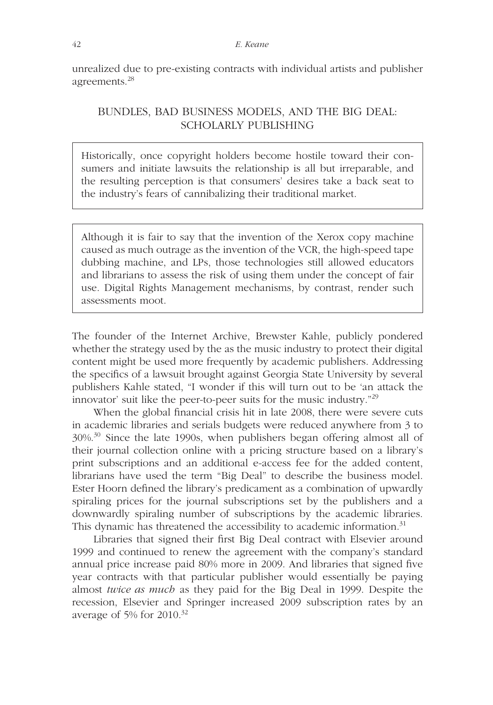unrealized due to pre-existing contracts with individual artists and publisher agreements.28

## BUNDLES, BAD BUSINESS MODELS, AND THE BIG DEAL: SCHOLARLY PUBLISHING

Historically, once copyright holders become hostile toward their consumers and initiate lawsuits the relationship is all but irreparable, and the resulting perception is that consumers' desires take a back seat to the industry's fears of cannibalizing their traditional market.

Although it is fair to say that the invention of the Xerox copy machine caused as much outrage as the invention of the VCR, the high-speed tape dubbing machine, and LPs, those technologies still allowed educators and librarians to assess the risk of using them under the concept of fair use. Digital Rights Management mechanisms, by contrast, render such assessments moot.

The founder of the Internet Archive, Brewster Kahle, publicly pondered whether the strategy used by the as the music industry to protect their digital content might be used more frequently by academic publishers. Addressing the specifics of a lawsuit brought against Georgia State University by several publishers Kahle stated, "I wonder if this will turn out to be 'an attack the innovator' suit like the peer-to-peer suits for the music industry."29

When the global financial crisis hit in late 2008, there were severe cuts in academic libraries and serials budgets were reduced anywhere from 3 to 30%.<sup>30</sup> Since the late 1990s, when publishers began offering almost all of their journal collection online with a pricing structure based on a library's print subscriptions and an additional e-access fee for the added content, librarians have used the term "Big Deal" to describe the business model. Ester Hoorn defined the library's predicament as a combination of upwardly spiraling prices for the journal subscriptions set by the publishers and a downwardly spiraling number of subscriptions by the academic libraries. This dynamic has threatened the accessibility to academic information.<sup>31</sup>

Libraries that signed their first Big Deal contract with Elsevier around 1999 and continued to renew the agreement with the company's standard annual price increase paid 80% more in 2009. And libraries that signed five year contracts with that particular publisher would essentially be paying almost *twice as much* as they paid for the Big Deal in 1999. Despite the recession, Elsevier and Springer increased 2009 subscription rates by an average of 5% for  $2010^{32}$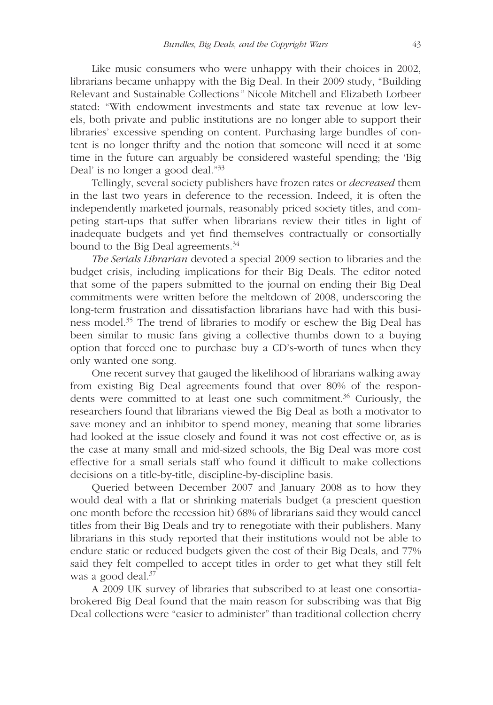Like music consumers who were unhappy with their choices in 2002, librarians became unhappy with the Big Deal. In their 2009 study, "Building Relevant and Sustainable Collections*"* Nicole Mitchell and Elizabeth Lorbeer stated: "With endowment investments and state tax revenue at low levels, both private and public institutions are no longer able to support their libraries' excessive spending on content. Purchasing large bundles of content is no longer thrifty and the notion that someone will need it at some time in the future can arguably be considered wasteful spending; the 'Big Deal' is no longer a good deal."<sup>33</sup>

Tellingly, several society publishers have frozen rates or *decreased* them in the last two years in deference to the recession. Indeed, it is often the independently marketed journals, reasonably priced society titles, and competing start-ups that suffer when librarians review their titles in light of inadequate budgets and yet find themselves contractually or consortially bound to the Big Deal agreements.<sup>34</sup>

*The Serials Librarian* devoted a special 2009 section to libraries and the budget crisis, including implications for their Big Deals. The editor noted that some of the papers submitted to the journal on ending their Big Deal commitments were written before the meltdown of 2008, underscoring the long-term frustration and dissatisfaction librarians have had with this business model.35 The trend of libraries to modify or eschew the Big Deal has been similar to music fans giving a collective thumbs down to a buying option that forced one to purchase buy a CD's-worth of tunes when they only wanted one song.

One recent survey that gauged the likelihood of librarians walking away from existing Big Deal agreements found that over 80% of the respondents were committed to at least one such commitment.<sup>36</sup> Curiously, the researchers found that librarians viewed the Big Deal as both a motivator to save money and an inhibitor to spend money, meaning that some libraries had looked at the issue closely and found it was not cost effective or, as is the case at many small and mid-sized schools, the Big Deal was more cost effective for a small serials staff who found it difficult to make collections decisions on a title-by-title, discipline-by-discipline basis.

Queried between December 2007 and January 2008 as to how they would deal with a flat or shrinking materials budget (a prescient question one month before the recession hit) 68% of librarians said they would cancel titles from their Big Deals and try to renegotiate with their publishers. Many librarians in this study reported that their institutions would not be able to endure static or reduced budgets given the cost of their Big Deals, and 77% said they felt compelled to accept titles in order to get what they still felt was a good deal.<sup>37</sup>

A 2009 UK survey of libraries that subscribed to at least one consortiabrokered Big Deal found that the main reason for subscribing was that Big Deal collections were "easier to administer" than traditional collection cherry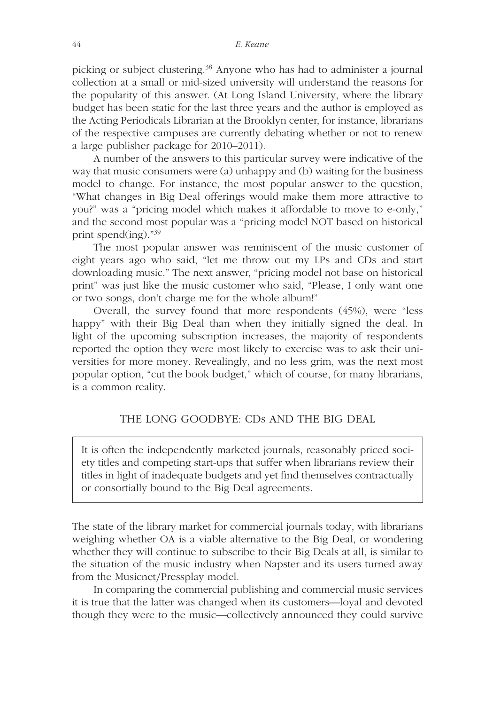picking or subject clustering.38 Anyone who has had to administer a journal collection at a small or mid-sized university will understand the reasons for the popularity of this answer. (At Long Island University, where the library budget has been static for the last three years and the author is employed as the Acting Periodicals Librarian at the Brooklyn center, for instance, librarians of the respective campuses are currently debating whether or not to renew a large publisher package for 2010–2011).

A number of the answers to this particular survey were indicative of the way that music consumers were (a) unhappy and (b) waiting for the business model to change. For instance, the most popular answer to the question, "What changes in Big Deal offerings would make them more attractive to you?" was a "pricing model which makes it affordable to move to e-only," and the second most popular was a "pricing model NOT based on historical print spend(ing)."39

The most popular answer was reminiscent of the music customer of eight years ago who said, "let me throw out my LPs and CDs and start downloading music." The next answer, "pricing model not base on historical print" was just like the music customer who said, "Please, I only want one or two songs, don't charge me for the whole album!"

Overall, the survey found that more respondents (45%), were "less happy" with their Big Deal than when they initially signed the deal. In light of the upcoming subscription increases, the majority of respondents reported the option they were most likely to exercise was to ask their universities for more money. Revealingly, and no less grim, was the next most popular option, "cut the book budget," which of course, for many librarians, is a common reality.

## THE LONG GOODBYE: CDs AND THE BIG DEAL

It is often the independently marketed journals, reasonably priced society titles and competing start-ups that suffer when librarians review their titles in light of inadequate budgets and yet find themselves contractually or consortially bound to the Big Deal agreements.

The state of the library market for commercial journals today, with librarians weighing whether OA is a viable alternative to the Big Deal, or wondering whether they will continue to subscribe to their Big Deals at all, is similar to the situation of the music industry when Napster and its users turned away from the Musicnet*/*Pressplay model.

In comparing the commercial publishing and commercial music services it is true that the latter was changed when its customers—loyal and devoted though they were to the music—collectively announced they could survive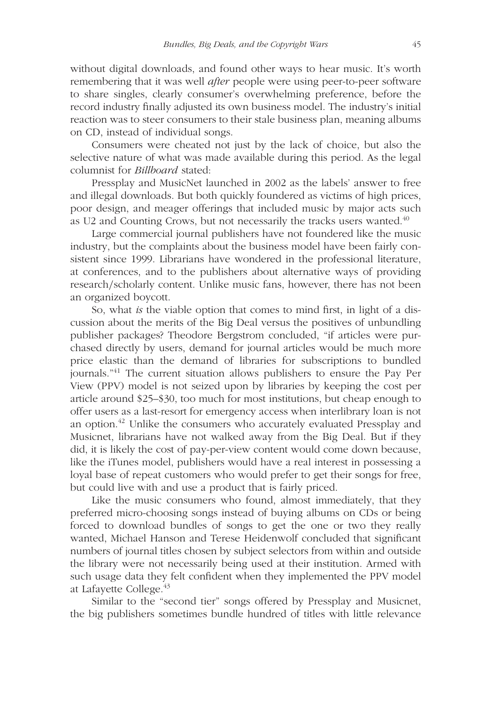without digital downloads, and found other ways to hear music. It's worth remembering that it was well *after* people were using peer-to-peer software to share singles, clearly consumer's overwhelming preference, before the record industry finally adjusted its own business model. The industry's initial reaction was to steer consumers to their stale business plan, meaning albums on CD, instead of individual songs.

Consumers were cheated not just by the lack of choice, but also the selective nature of what was made available during this period. As the legal columnist for *Billboard* stated:

Pressplay and MusicNet launched in 2002 as the labels' answer to free and illegal downloads. But both quickly foundered as victims of high prices, poor design, and meager offerings that included music by major acts such as U2 and Counting Crows, but not necessarily the tracks users wanted.<sup>40</sup>

Large commercial journal publishers have not foundered like the music industry, but the complaints about the business model have been fairly consistent since 1999. Librarians have wondered in the professional literature, at conferences, and to the publishers about alternative ways of providing research*/*scholarly content. Unlike music fans, however, there has not been an organized boycott.

So, what *is* the viable option that comes to mind first, in light of a discussion about the merits of the Big Deal versus the positives of unbundling publisher packages? Theodore Bergstrom concluded, "if articles were purchased directly by users, demand for journal articles would be much more price elastic than the demand of libraries for subscriptions to bundled journals."41 The current situation allows publishers to ensure the Pay Per View (PPV) model is not seized upon by libraries by keeping the cost per article around \$25–\$30, too much for most institutions, but cheap enough to offer users as a last-resort for emergency access when interlibrary loan is not an option.42 Unlike the consumers who accurately evaluated Pressplay and Musicnet, librarians have not walked away from the Big Deal. But if they did, it is likely the cost of pay-per-view content would come down because, like the iTunes model, publishers would have a real interest in possessing a loyal base of repeat customers who would prefer to get their songs for free, but could live with and use a product that is fairly priced.

Like the music consumers who found, almost immediately, that they preferred micro-choosing songs instead of buying albums on CDs or being forced to download bundles of songs to get the one or two they really wanted, Michael Hanson and Terese Heidenwolf concluded that significant numbers of journal titles chosen by subject selectors from within and outside the library were not necessarily being used at their institution. Armed with such usage data they felt confident when they implemented the PPV model at Lafayette College.<sup>43</sup>

Similar to the "second tier" songs offered by Pressplay and Musicnet, the big publishers sometimes bundle hundred of titles with little relevance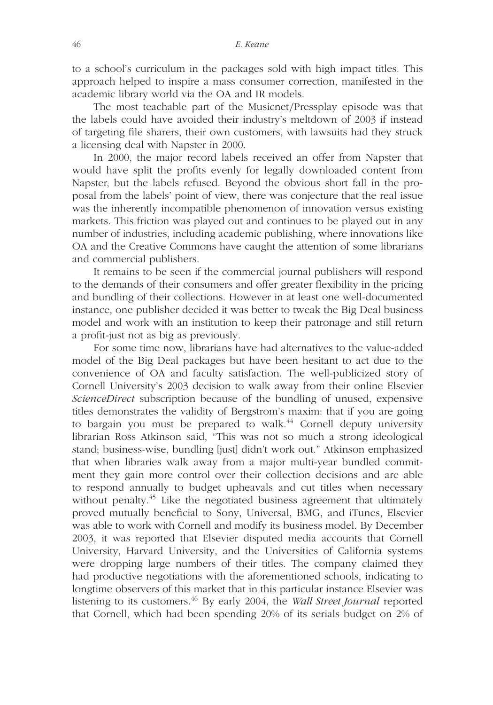to a school's curriculum in the packages sold with high impact titles. This approach helped to inspire a mass consumer correction, manifested in the academic library world via the OA and IR models.

The most teachable part of the Musicnet*/*Pressplay episode was that the labels could have avoided their industry's meltdown of 2003 if instead of targeting file sharers, their own customers, with lawsuits had they struck a licensing deal with Napster in 2000.

In 2000, the major record labels received an offer from Napster that would have split the profits evenly for legally downloaded content from Napster, but the labels refused. Beyond the obvious short fall in the proposal from the labels' point of view, there was conjecture that the real issue was the inherently incompatible phenomenon of innovation versus existing markets. This friction was played out and continues to be played out in any number of industries, including academic publishing, where innovations like OA and the Creative Commons have caught the attention of some librarians and commercial publishers.

It remains to be seen if the commercial journal publishers will respond to the demands of their consumers and offer greater flexibility in the pricing and bundling of their collections. However in at least one well-documented instance, one publisher decided it was better to tweak the Big Deal business model and work with an institution to keep their patronage and still return a profit-just not as big as previously.

For some time now, librarians have had alternatives to the value-added model of the Big Deal packages but have been hesitant to act due to the convenience of OA and faculty satisfaction. The well-publicized story of Cornell University's 2003 decision to walk away from their online Elsevier *ScienceDirect* subscription because of the bundling of unused, expensive titles demonstrates the validity of Bergstrom's maxim: that if you are going to bargain you must be prepared to walk.<sup>44</sup> Cornell deputy university librarian Ross Atkinson said, "This was not so much a strong ideological stand; business-wise, bundling [just] didn't work out." Atkinson emphasized that when libraries walk away from a major multi-year bundled commitment they gain more control over their collection decisions and are able to respond annually to budget upheavals and cut titles when necessary without penalty.<sup>45</sup> Like the negotiated business agreement that ultimately proved mutually beneficial to Sony, Universal, BMG, and iTunes, Elsevier was able to work with Cornell and modify its business model. By December 2003, it was reported that Elsevier disputed media accounts that Cornell University, Harvard University, and the Universities of California systems were dropping large numbers of their titles. The company claimed they had productive negotiations with the aforementioned schools, indicating to longtime observers of this market that in this particular instance Elsevier was listening to its customers.46 By early 2004, the *Wall Street Journal* reported that Cornell, which had been spending 20% of its serials budget on 2% of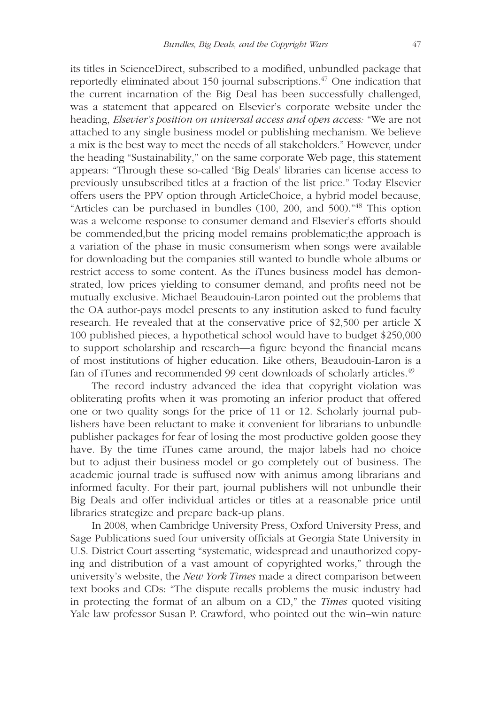its titles in ScienceDirect, subscribed to a modified, unbundled package that reportedly eliminated about 150 journal subscriptions. $47$  One indication that the current incarnation of the Big Deal has been successfully challenged, was a statement that appeared on Elsevier's corporate website under the heading, *Elsevier's position on universal access and open access:* "We are not attached to any single business model or publishing mechanism. We believe a mix is the best way to meet the needs of all stakeholders." However, under the heading "Sustainability," on the same corporate Web page, this statement appears: "Through these so-called 'Big Deals' libraries can license access to previously unsubscribed titles at a fraction of the list price." Today Elsevier offers users the PPV option through ArticleChoice, a hybrid model because, "Articles can be purchased in bundles (100, 200, and 500)."48 This option was a welcome response to consumer demand and Elsevier's efforts should be commended,but the pricing model remains problematic;the approach is a variation of the phase in music consumerism when songs were available for downloading but the companies still wanted to bundle whole albums or restrict access to some content. As the iTunes business model has demonstrated, low prices yielding to consumer demand, and profits need not be mutually exclusive. Michael Beaudouin-Laron pointed out the problems that the OA author-pays model presents to any institution asked to fund faculty research. He revealed that at the conservative price of \$2,500 per article X 100 published pieces, a hypothetical school would have to budget \$250,000 to support scholarship and research—a figure beyond the financial means of most institutions of higher education. Like others, Beaudouin-Laron is a fan of iTunes and recommended 99 cent downloads of scholarly articles.<sup>49</sup>

The record industry advanced the idea that copyright violation was obliterating profits when it was promoting an inferior product that offered one or two quality songs for the price of 11 or 12. Scholarly journal publishers have been reluctant to make it convenient for librarians to unbundle publisher packages for fear of losing the most productive golden goose they have. By the time iTunes came around, the major labels had no choice but to adjust their business model or go completely out of business. The academic journal trade is suffused now with animus among librarians and informed faculty. For their part, journal publishers will not unbundle their Big Deals and offer individual articles or titles at a reasonable price until libraries strategize and prepare back-up plans.

In 2008, when Cambridge University Press, Oxford University Press, and Sage Publications sued four university officials at Georgia State University in U.S. District Court asserting "systematic, widespread and unauthorized copying and distribution of a vast amount of copyrighted works," through the university's website, the *New York Times* made a direct comparison between text books and CDs: "The dispute recalls problems the music industry had in protecting the format of an album on a CD," the *Times* quoted visiting Yale law professor Susan P. Crawford, who pointed out the win–win nature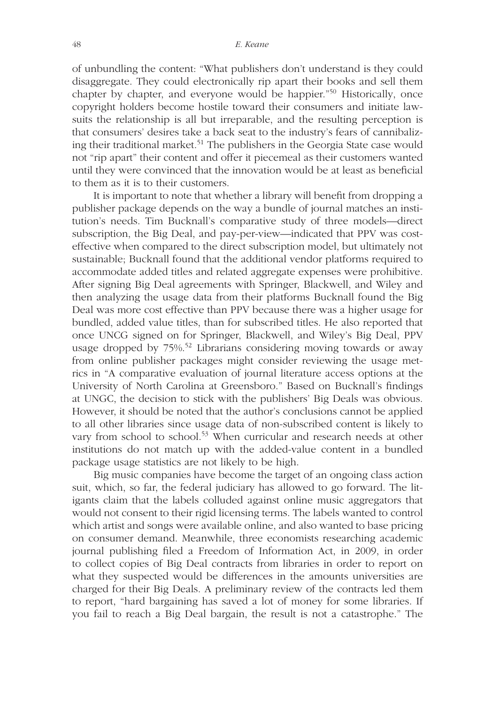of unbundling the content: "What publishers don't understand is they could disaggregate. They could electronically rip apart their books and sell them chapter by chapter, and everyone would be happier."50 Historically, once copyright holders become hostile toward their consumers and initiate lawsuits the relationship is all but irreparable, and the resulting perception is that consumers' desires take a back seat to the industry's fears of cannibalizing their traditional market.<sup>51</sup> The publishers in the Georgia State case would not "rip apart" their content and offer it piecemeal as their customers wanted until they were convinced that the innovation would be at least as beneficial to them as it is to their customers.

It is important to note that whether a library will benefit from dropping a publisher package depends on the way a bundle of journal matches an institution's needs. Tim Bucknall's comparative study of three models—direct subscription, the Big Deal, and pay-per-view—indicated that PPV was costeffective when compared to the direct subscription model, but ultimately not sustainable; Bucknall found that the additional vendor platforms required to accommodate added titles and related aggregate expenses were prohibitive. After signing Big Deal agreements with Springer, Blackwell, and Wiley and then analyzing the usage data from their platforms Bucknall found the Big Deal was more cost effective than PPV because there was a higher usage for bundled, added value titles, than for subscribed titles. He also reported that once UNCG signed on for Springer, Blackwell, and Wiley's Big Deal, PPV usage dropped by 75%.<sup>52</sup> Librarians considering moving towards or away from online publisher packages might consider reviewing the usage metrics in "A comparative evaluation of journal literature access options at the University of North Carolina at Greensboro." Based on Bucknall's findings at UNGC, the decision to stick with the publishers' Big Deals was obvious. However, it should be noted that the author's conclusions cannot be applied to all other libraries since usage data of non-subscribed content is likely to vary from school to school.53 When curricular and research needs at other institutions do not match up with the added-value content in a bundled package usage statistics are not likely to be high.

Big music companies have become the target of an ongoing class action suit, which, so far, the federal judiciary has allowed to go forward. The litigants claim that the labels colluded against online music aggregators that would not consent to their rigid licensing terms. The labels wanted to control which artist and songs were available online, and also wanted to base pricing on consumer demand. Meanwhile, three economists researching academic journal publishing filed a Freedom of Information Act, in 2009, in order to collect copies of Big Deal contracts from libraries in order to report on what they suspected would be differences in the amounts universities are charged for their Big Deals. A preliminary review of the contracts led them to report, "hard bargaining has saved a lot of money for some libraries. If you fail to reach a Big Deal bargain, the result is not a catastrophe." The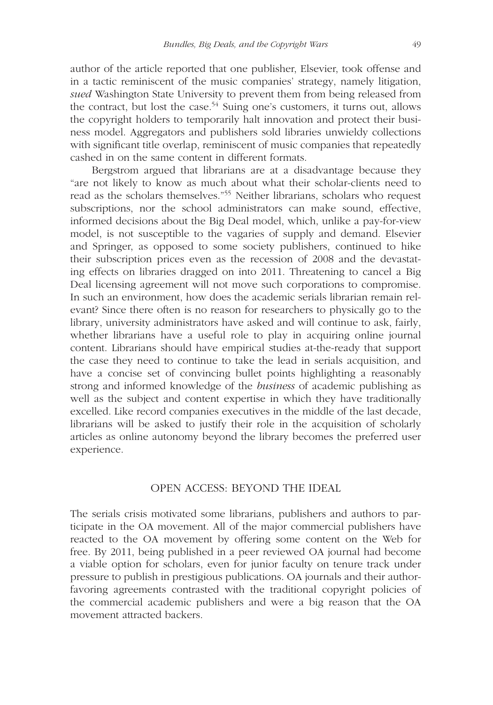author of the article reported that one publisher, Elsevier, took offense and in a tactic reminiscent of the music companies' strategy, namely litigation, *sued* Washington State University to prevent them from being released from the contract, but lost the case.<sup>54</sup> Suing one's customers, it turns out, allows the copyright holders to temporarily halt innovation and protect their business model. Aggregators and publishers sold libraries unwieldy collections with significant title overlap, reminiscent of music companies that repeatedly cashed in on the same content in different formats.

Bergstrom argued that librarians are at a disadvantage because they "are not likely to know as much about what their scholar-clients need to read as the scholars themselves."55 Neither librarians, scholars who request subscriptions, nor the school administrators can make sound, effective, informed decisions about the Big Deal model, which, unlike a pay-for-view model, is not susceptible to the vagaries of supply and demand. Elsevier and Springer, as opposed to some society publishers, continued to hike their subscription prices even as the recession of 2008 and the devastating effects on libraries dragged on into 2011. Threatening to cancel a Big Deal licensing agreement will not move such corporations to compromise. In such an environment, how does the academic serials librarian remain relevant? Since there often is no reason for researchers to physically go to the library, university administrators have asked and will continue to ask, fairly, whether librarians have a useful role to play in acquiring online journal content. Librarians should have empirical studies at-the-ready that support the case they need to continue to take the lead in serials acquisition, and have a concise set of convincing bullet points highlighting a reasonably strong and informed knowledge of the *business* of academic publishing as well as the subject and content expertise in which they have traditionally excelled. Like record companies executives in the middle of the last decade, librarians will be asked to justify their role in the acquisition of scholarly articles as online autonomy beyond the library becomes the preferred user experience.

#### OPEN ACCESS: BEYOND THE IDEAL

The serials crisis motivated some librarians, publishers and authors to participate in the OA movement. All of the major commercial publishers have reacted to the OA movement by offering some content on the Web for free. By 2011, being published in a peer reviewed OA journal had become a viable option for scholars, even for junior faculty on tenure track under pressure to publish in prestigious publications. OA journals and their authorfavoring agreements contrasted with the traditional copyright policies of the commercial academic publishers and were a big reason that the OA movement attracted backers.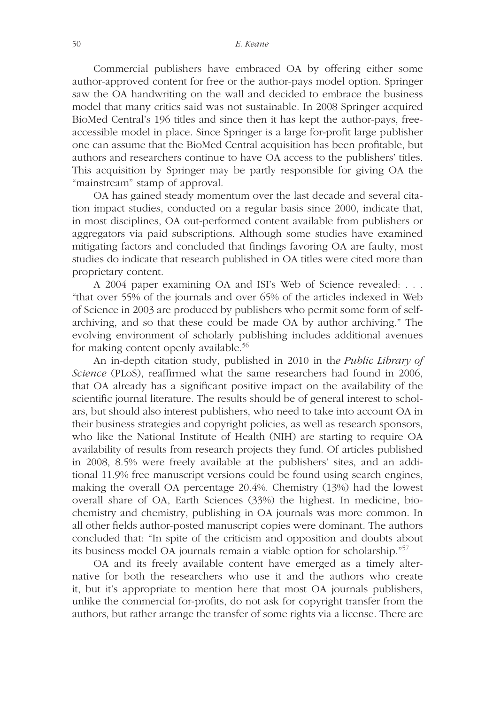Commercial publishers have embraced OA by offering either some author-approved content for free or the author-pays model option. Springer saw the OA handwriting on the wall and decided to embrace the business model that many critics said was not sustainable. In 2008 Springer acquired BioMed Central's 196 titles and since then it has kept the author-pays, freeaccessible model in place. Since Springer is a large for-profit large publisher one can assume that the BioMed Central acquisition has been profitable, but authors and researchers continue to have OA access to the publishers' titles. This acquisition by Springer may be partly responsible for giving OA the "mainstream" stamp of approval.

OA has gained steady momentum over the last decade and several citation impact studies, conducted on a regular basis since 2000, indicate that, in most disciplines, OA out-performed content available from publishers or aggregators via paid subscriptions. Although some studies have examined mitigating factors and concluded that findings favoring OA are faulty, most studies do indicate that research published in OA titles were cited more than proprietary content.

A 2004 paper examining OA and ISI's Web of Science revealed: . . . "that over 55% of the journals and over 65% of the articles indexed in Web of Science in 2003 are produced by publishers who permit some form of selfarchiving, and so that these could be made OA by author archiving." The evolving environment of scholarly publishing includes additional avenues for making content openly available.<sup>56</sup>

An in-depth citation study, published in 2010 in th*e Public Library of Science* (PLoS), reaffirmed what the same researchers had found in 2006, that OA already has a significant positive impact on the availability of the scientific journal literature. The results should be of general interest to scholars, but should also interest publishers, who need to take into account OA in their business strategies and copyright policies, as well as research sponsors, who like the National Institute of Health (NIH) are starting to require OA availability of results from research projects they fund. Of articles published in 2008, 8.5% were freely available at the publishers' sites, and an additional 11.9% free manuscript versions could be found using search engines, making the overall OA percentage 20.4%. Chemistry (13%) had the lowest overall share of OA, Earth Sciences (33%) the highest. In medicine, biochemistry and chemistry, publishing in OA journals was more common. In all other fields author-posted manuscript copies were dominant. The authors concluded that: "In spite of the criticism and opposition and doubts about its business model OA journals remain a viable option for scholarship."57

OA and its freely available content have emerged as a timely alternative for both the researchers who use it and the authors who create it, but it's appropriate to mention here that most OA journals publishers, unlike the commercial for-profits, do not ask for copyright transfer from the authors, but rather arrange the transfer of some rights via a license. There are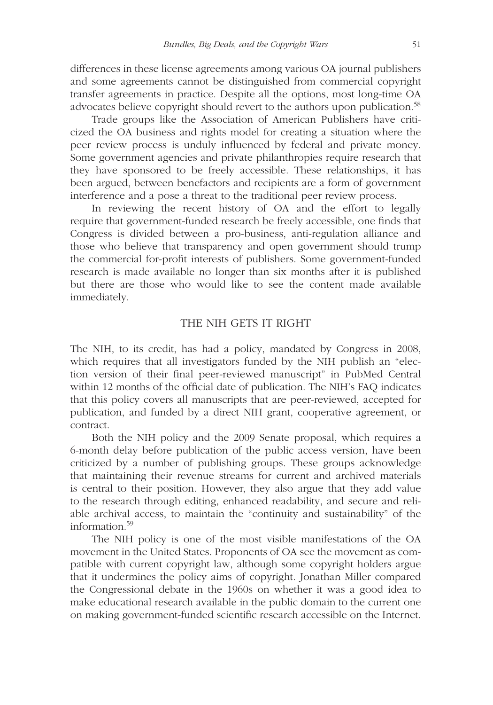differences in these license agreements among various OA journal publishers and some agreements cannot be distinguished from commercial copyright transfer agreements in practice. Despite all the options, most long-time OA advocates believe copyright should revert to the authors upon publication.<sup>58</sup>

Trade groups like the Association of American Publishers have criticized the OA business and rights model for creating a situation where the peer review process is unduly influenced by federal and private money. Some government agencies and private philanthropies require research that they have sponsored to be freely accessible. These relationships, it has been argued, between benefactors and recipients are a form of government interference and a pose a threat to the traditional peer review process.

In reviewing the recent history of OA and the effort to legally require that government-funded research be freely accessible, one finds that Congress is divided between a pro-business, anti-regulation alliance and those who believe that transparency and open government should trump the commercial for-profit interests of publishers. Some government-funded research is made available no longer than six months after it is published but there are those who would like to see the content made available immediately.

#### THE NIH GETS IT RIGHT

The NIH, to its credit, has had a policy, mandated by Congress in 2008, which requires that all investigators funded by the NIH publish an "election version of their final peer-reviewed manuscript" in PubMed Central within 12 months of the official date of publication. The NIH's FAQ indicates that this policy covers all manuscripts that are peer-reviewed, accepted for publication, and funded by a direct NIH grant, cooperative agreement, or contract.

Both the NIH policy and the 2009 Senate proposal, which requires a 6-month delay before publication of the public access version, have been criticized by a number of publishing groups. These groups acknowledge that maintaining their revenue streams for current and archived materials is central to their position. However, they also argue that they add value to the research through editing, enhanced readability, and secure and reliable archival access, to maintain the "continuity and sustainability" of the information<sup>59</sup>

The NIH policy is one of the most visible manifestations of the OA movement in the United States. Proponents of OA see the movement as compatible with current copyright law, although some copyright holders argue that it undermines the policy aims of copyright. Jonathan Miller compared the Congressional debate in the 1960s on whether it was a good idea to make educational research available in the public domain to the current one on making government-funded scientific research accessible on the Internet.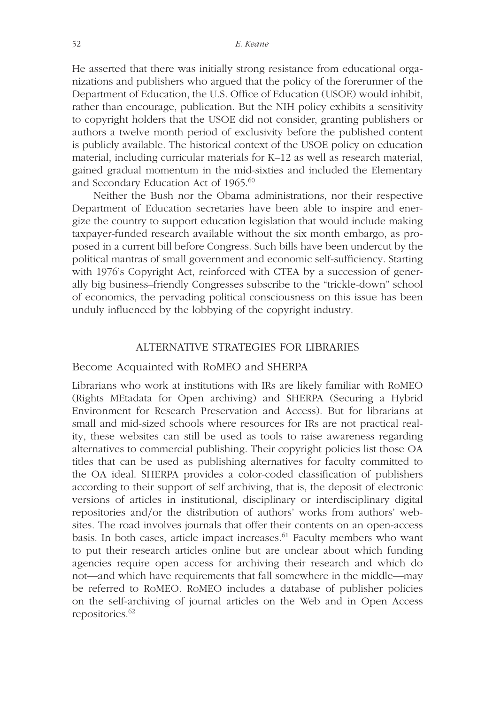He asserted that there was initially strong resistance from educational organizations and publishers who argued that the policy of the forerunner of the Department of Education, the U.S. Office of Education (USOE) would inhibit, rather than encourage, publication. But the NIH policy exhibits a sensitivity to copyright holders that the USOE did not consider, granting publishers or authors a twelve month period of exclusivity before the published content is publicly available. The historical context of the USOE policy on education material, including curricular materials for K–12 as well as research material, gained gradual momentum in the mid-sixties and included the Elementary and Secondary Education Act of 1965.<sup>60</sup>

Neither the Bush nor the Obama administrations, nor their respective Department of Education secretaries have been able to inspire and energize the country to support education legislation that would include making taxpayer-funded research available without the six month embargo, as proposed in a current bill before Congress. Such bills have been undercut by the political mantras of small government and economic self-sufficiency. Starting with 1976's Copyright Act, reinforced with CTEA by a succession of generally big business–friendly Congresses subscribe to the "trickle-down" school of economics, the pervading political consciousness on this issue has been unduly influenced by the lobbying of the copyright industry.

#### ALTERNATIVE STRATEGIES FOR LIBRARIES

#### Become Acquainted with RoMEO and SHERPA

Librarians who work at institutions with IRs are likely familiar with RoMEO (Rights MEtadata for Open archiving) and SHERPA (Securing a Hybrid Environment for Research Preservation and Access). But for librarians at small and mid-sized schools where resources for IRs are not practical reality, these websites can still be used as tools to raise awareness regarding alternatives to commercial publishing. Their copyright policies list those OA titles that can be used as publishing alternatives for faculty committed to the OA ideal. SHERPA provides a color-coded classification of publishers according to their support of self archiving, that is, the deposit of electronic versions of articles in institutional, disciplinary or interdisciplinary digital repositories and*/*or the distribution of authors' works from authors' websites. The road involves journals that offer their contents on an open-access basis. In both cases, article impact increases.<sup>61</sup> Faculty members who want to put their research articles online but are unclear about which funding agencies require open access for archiving their research and which do not—and which have requirements that fall somewhere in the middle—may be referred to RoMEO. RoMEO includes a database of publisher policies on the self-archiving of journal articles on the Web and in Open Access repositories. $62$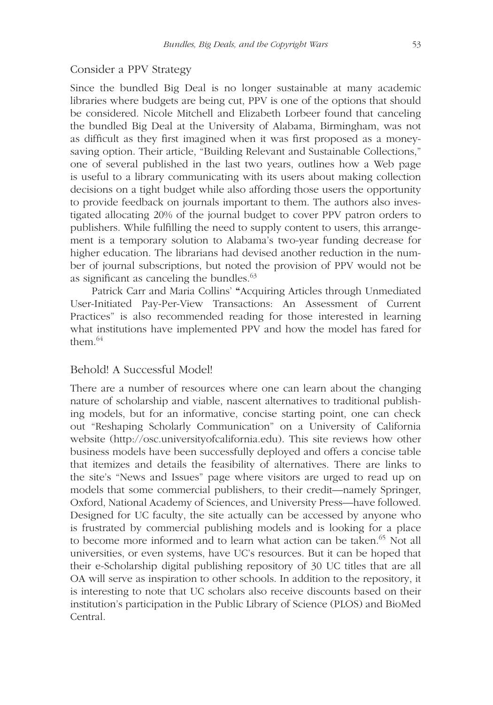#### Consider a PPV Strategy

Since the bundled Big Deal is no longer sustainable at many academic libraries where budgets are being cut, PPV is one of the options that should be considered. Nicole Mitchell and Elizabeth Lorbeer found that canceling the bundled Big Deal at the University of Alabama, Birmingham, was not as difficult as they first imagined when it was first proposed as a moneysaving option. Their article, "Building Relevant and Sustainable Collections," one of several published in the last two years, outlines how a Web page is useful to a library communicating with its users about making collection decisions on a tight budget while also affording those users the opportunity to provide feedback on journals important to them. The authors also investigated allocating 20% of the journal budget to cover PPV patron orders to publishers. While fulfilling the need to supply content to users, this arrangement is a temporary solution to Alabama's two-year funding decrease for higher education. The librarians had devised another reduction in the number of journal subscriptions, but noted the provision of PPV would not be as significant as canceling the bundles.<sup>63</sup>

Patrick Carr and Maria Collins' **"**Acquiring Articles through Unmediated User-Initiated Pay-Per-View Transactions: An Assessment of Current Practices" is also recommended reading for those interested in learning what institutions have implemented PPV and how the model has fared for them  $64$ 

## Behold! A Successful Model!

There are a number of resources where one can learn about the changing nature of scholarship and viable, nascent alternatives to traditional publishing models, but for an informative, concise starting point, one can check out "Reshaping Scholarly Communication" on a University of California website (http://osc.universityofcalifornia.edu). This site reviews how other business models have been successfully deployed and offers a concise table that itemizes and details the feasibility of alternatives. There are links to the site's "News and Issues" page where visitors are urged to read up on models that some commercial publishers, to their credit—namely Springer, Oxford, National Academy of Sciences, and University Press—have followed. Designed for UC faculty, the site actually can be accessed by anyone who is frustrated by commercial publishing models and is looking for a place to become more informed and to learn what action can be taken.<sup>65</sup> Not all universities, or even systems, have UC's resources. But it can be hoped that their e-Scholarship digital publishing repository of 30 UC titles that are all OA will serve as inspiration to other schools. In addition to the repository, it is interesting to note that UC scholars also receive discounts based on their institution's participation in the Public Library of Science (PLOS) and BioMed Central.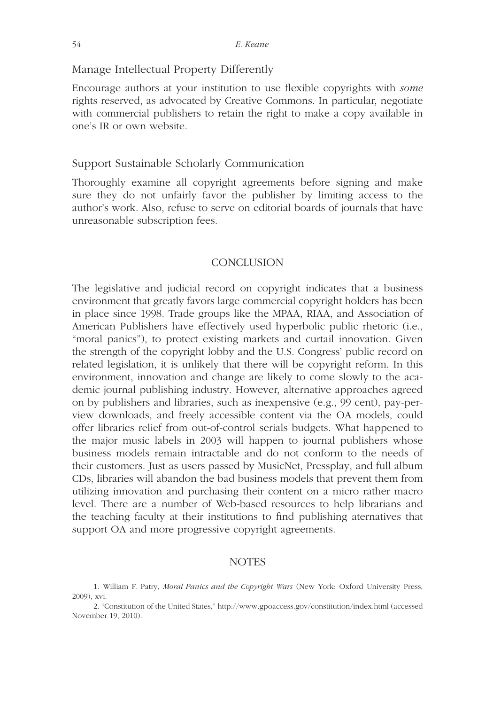## Manage Intellectual Property Differently

Encourage authors at your institution to use flexible copyrights with *some* rights reserved, as advocated by Creative Commons. In particular, negotiate with commercial publishers to retain the right to make a copy available in one's IR or own website.

### Support Sustainable Scholarly Communication

Thoroughly examine all copyright agreements before signing and make sure they do not unfairly favor the publisher by limiting access to the author's work. Also, refuse to serve on editorial boards of journals that have unreasonable subscription fees.

#### **CONCLUSION**

The legislative and judicial record on copyright indicates that a business environment that greatly favors large commercial copyright holders has been in place since 1998. Trade groups like the MPAA, RIAA, and Association of American Publishers have effectively used hyperbolic public rhetoric (i.e., "moral panics"), to protect existing markets and curtail innovation. Given the strength of the copyright lobby and the U.S. Congress' public record on related legislation, it is unlikely that there will be copyright reform. In this environment, innovation and change are likely to come slowly to the academic journal publishing industry. However, alternative approaches agreed on by publishers and libraries, such as inexpensive (e.g., 99 cent), pay-perview downloads, and freely accessible content via the OA models, could offer libraries relief from out-of-control serials budgets. What happened to the major music labels in 2003 will happen to journal publishers whose business models remain intractable and do not conform to the needs of their customers. Just as users passed by MusicNet, Pressplay, and full album CDs, libraries will abandon the bad business models that prevent them from utilizing innovation and purchasing their content on a micro rather macro level. There are a number of Web-based resources to help librarians and the teaching faculty at their institutions to find publishing aternatives that support OA and more progressive copyright agreements.

#### **NOTES**

<sup>1.</sup> William F. Patry, *Moral Panics and the Copyright Wars* (New York: Oxford University Press, 2009), xvi.

<sup>2. &</sup>quot;Constitution of the United States," http://www.gpoaccess.gov/constitution/index.html (accessed November 19, 2010).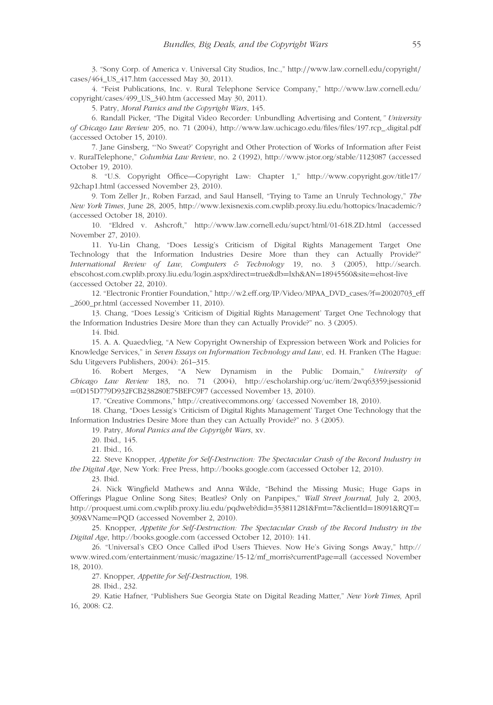3. "Sony Corp. of America v. Universal City Studios, Inc.," http:*//*www.law.cornell.edu*/*copyright*/* cases*/*464\_US\_417.htm (accessed May 30, 2011).

4. "Feist Publications, Inc. v. Rural Telephone Service Company," http://www.law.cornell.edu/ copyright/cases/499\_US\_340.htm (accessed May 30, 2011).

5. Patry, *Moral Panics and the Copyright Wars*, 145.

6. Randall Picker, "The Digital Video Recorder: Unbundling Advertising and Content*," University of Chicago Law Review* 205, no. 71 (2004), http://www.law.uchicago.edu/files/files/197.rcp\_.digital.pdf (accessed October 15, 2010).

7. Jane Ginsberg, "'No Sweat?' Copyright and Other Protection of Works of Information after Feist v. RuralTelephone," *Columbia Law Review*, no. 2 (1992), http://www.jstor.org/stable/1123087 (accessed October 19, 2010).

8. "U.S. Copyright Office—Copyright Law: Chapter 1," http://www.copyright.gov/title17/ 92chap1.html (accessed November 23, 2010).

9. Tom Zeller Jr., Roben Farzad, and Saul Hansell, "Trying to Tame an Unruly Technology," *The New York Times*, June 28, 2005, http://www.lexisnexis.com.cwplib.proxy.liu.edu/hottopics/lnacademic/? (accessed October 18, 2010).

10. "Eldred v. Ashcroft," http://www.law.cornell.edu/supct/html/01-618.ZD.html (accessed November 27, 2010).

11. Yu-Lin Chang, "Does Lessig's Criticism of Digital Rights Management Target One Technology that the Information Industries Desire More than they can Actually Provide?" *International Review of Law, Computers & Technology* 19, no. 3 (2005), http://search. ebscohost.com.cwplib.proxy.liu.edu/login.aspx?direct=true&db=lxh&AN=18945560&site=ehost-live (accessed October 22, 2010).

12. "Electronic Frontier Foundation," http://w2.eff.org/IP/Video/MPAA\_DVD\_cases/?f=20020703\_eff \_2600\_pr.html (accessed November 11, 2010).

13. Chang, "Does Lessig's 'Criticism of Digitial Rights Management' Target One Technology that the Information Industries Desire More than they can Actually Provide?" no. 3 (2005).

14. Ibid.

15. A. A. Quaedvlieg, "A New Copyright Ownership of Expression between Work and Policies for Knowledge Services," in *Seven Essays on Information Technology and Law*, ed. H. Franken (The Hague: Sdu Uitgevers Publishers, 2004): 261–315.

16. Robert Merges, "A New Dynamism in the Public Domain," *University of Chicago Law Review* 183, no. 71 (2004), http://escholarship.org/uc/item/2wq63359;jsessionid =0D15D779D932FCB238280E75BEFC9F7 (accessed November 13, 2010).

17. "Creative Commons," http://creativecommons.org/ (accessed November 18, 2010).

18. Chang, "Does Lessig's 'Criticism of Digital Rights Management' Target One Technology that the Information Industries Desire More than they can Actually Provide?" no. 3 (2005).

19. Patry, *Moral Panics and the Copyright Wars*, xv.

20. Ibid.*,* 145.

21. Ibid., 16.

22. Steve Knopper, *Appetite for Self-Destruction: The Spectacular Crash of the Record Industry in the Digital Age*, New York: Free Press, http://books.google.com (accessed October 12, 2010).

23. Ibid.

24. Nick Wingfield Mathews and Anna Wilde, "Behind the Missing Music; Huge Gaps in Offerings Plague Online Song Sites; Beatles? Only on Panpipes," *Wall Street Journal,* July 2, 2003, http://proquest.umi.com.cwplib.proxy.liu.edu/pqdweb?did=353811281&Fmt=7&clientId=18091&RQT= 309&VName=PQD (accessed November 2, 2010).

25. Knopper, *Appetite for Self-Destruction: The Spectacular Crash of the Record Industry in the Digital Age*, http://books.google.com (accessed October 12, 2010): 141.

26. "Universal's CEO Once Called iPod Users Thieves. Now He's Giving Songs Away," http:// www.wired.com/entertainment/music/magazine/15-12/mf\_morris?currentPage=all (accessed November 18, 2010).

27. Knopper, *Appetite for Self-Destruction,* 198.

28. Ibid., 232.

29. Katie Hafner, "Publishers Sue Georgia State on Digital Reading Matter," *New York Times,* April 16, 2008: C2.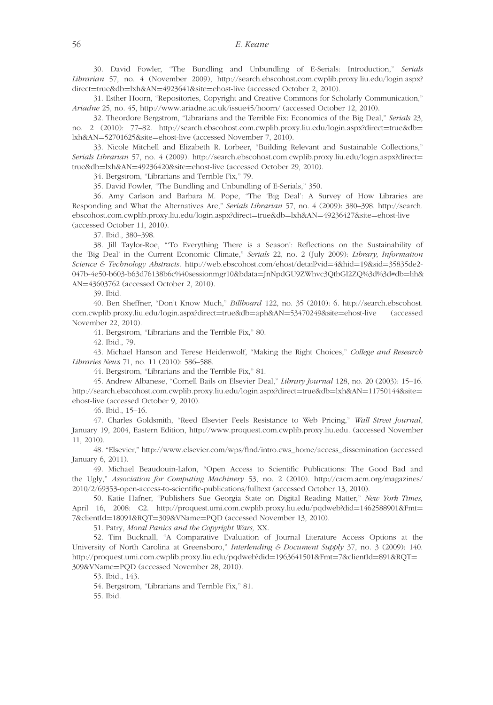#### 56 *E. Keane*

30. David Fowler, "The Bundling and Unbundling of E-Serials: Introduction," *Serials Librarian* 57, no. 4 (November 2009), http://search.ebscohost.com.cwplib.proxy.liu.edu/login.aspx? direct=true&db=lxh&AN=4923641&site=ehost-live (accessed October 2, 2010).

31. Esther Hoorn, "Repositories, Copyright and Creative Commons for Scholarly Communication," *Ariadne* 25, no. 45, http://www.ariadne.ac.uk/issue45/hoorn/ (accessed October 12, 2010).

32. Theordore Bergstrom, "Librarians and the Terrible Fix: Economics of the Big Deal," *Serials* 23, no. 2 (2010): 77–82. http://search.ebscohost.com.cwplib.proxy.liu.edu/login.aspx?direct=true&db= lxh&AN=52701625&site=ehost-live (accessed November 7, 2010).

33. Nicole Mitchell and Elizabeth R. Lorbeer, "Building Relevant and Sustainable Collections," *Serials Librarian* 57, no. 4 (2009). http://search.ebscohost.com.cwplib.proxy.liu.edu/login.aspx?direct= true&db=lxh&AN=49236420&site=ehost-live (accessed October 29, 2010).

34. Bergstrom, "Librarians and Terrible Fix," 79.

35. David Fowler, "The Bundling and Unbundling of E-Serials," 350.

36. Amy Carlson and Barbara M. Pope, "The 'Big Deal': A Survey of How Libraries are Responding and What the Alternatives Are," *Serials Librarian* 57, no. 4 (2009): 380–398. http://search. ebscohost.com.cwplib.proxy.liu.edu/login.aspx?direct=true&db=lxh&AN=49236427&site=ehost-live (accessed October 11, 2010).

37. Ibid., 380–398.

38. Jill Taylor-Roe, "'To Everything There is a Season': Reflections on the Sustainability of the 'Big Deal' in the Current Economic Climate," *Serials* 22, no. 2 (July 2009): *Library, Information Science & Technology Abstracts*. http://web.ebscohost.com/ehost/detail?vid=4&hid=19&sid=35835de2- 047b-4e50-b603-b63d76138b6c%40sessionmgr10&bdata=JnNpdGU9ZWhvc3QtbGl2ZQ%3d%3d#db=lih& AN=43603762 (accessed October 2, 2010).

39. Ibid.

40. Ben Sheffner, "Don't Know Much," *Billboard* 122, no. 35 (2010): 6. http://search.ebscohost. com.cwplib.proxy.liu.edu/login.aspx?direct=true&db=aph&AN=53470249&site=ehost-live (accessed November 22, 2010).

41. Bergstrom, "Librarians and the Terrible Fix," 80.

42. Ibid., 79.

43. Michael Hanson and Terese Heidenwolf, "Making the Right Choices," *College and Research Libraries News* 71, no. 11 (2010): 586–588.

44. Bergstrom, "Librarians and the Terrible Fix," 81.

45. Andrew Albanese, "Cornell Bails on Elsevier Deal," *Library Journal* 128, no. 20 (2003): 15–16. http://search.ebscohost.com.cwplib.proxy.liu.edu/login.aspx?direct=true&db=lxh&AN=11750144&site= ehost-live (accessed October 9, 2010).

46. Ibid., 15–16.

47. Charles Goldsmith, "Reed Elsevier Feels Resistance to Web Pricing," *Wall Street Journal*, January 19, 2004, Eastern Edition, http://www.proquest.com.cwplib.proxy.liu.edu. (accessed November 11, 2010).

48. "Elsevier," http://www.elsevier.com/wps/find/intro.cws\_home/access\_dissemination (accessed January 6, 2011).

49. Michael Beaudouin-Lafon, "Open Access to Scientific Publications: The Good Bad and the Ugly," *Association for Computing Machinery* 53, no. 2 (2010). http://cacm.acm.org/magazines/ 2010/2/69353-open-access-to-scientific-publications/fulltext (accessed October 13, 2010).

50. Katie Hafner, "Publishers Sue Georgia State on Digital Reading Matter," *New York Times,* April 16, 2008: C2. http://proquest.umi.com.cwplib.proxy.liu.edu/pqdweb?did=1462588901&Fmt= 7&clientId=18091&RQT=309&VName=PQD (accessed November 13, 2010).

51. Patry, *Moral Panics and the Copyright Wars,* XX.

52. Tim Bucknall, "A Comparative Evaluation of Journal Literature Access Options at the University of North Carolina at Greensboro," *Interlending & Document Supply* 37, no. 3 (2009): 140. http://proquest.umi.com.cwplib.proxy.liu.edu/pqdweb?did=1963641501&Fmt=7&clientId=891&RQT= 309&VName=PQD (accessed November 28, 2010).

53. Ibid., 143.

54. Bergstrom, "Librarians and Terrible Fix," 81.

55. Ibid.